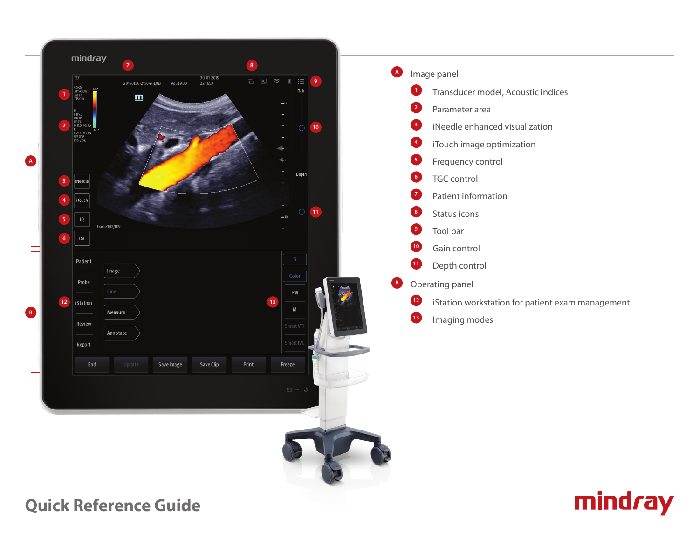